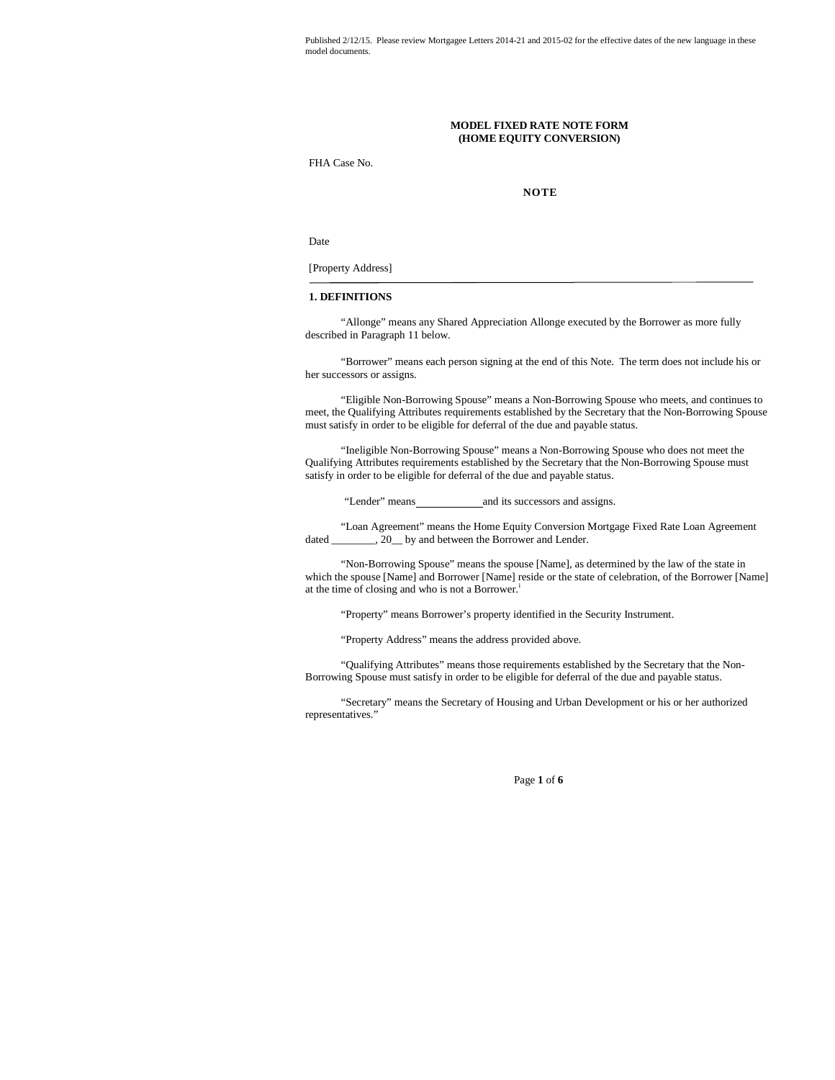#### **MODEL FIXED RATE NOTE FORM (HOME EQUITY CONVERSION)**

FHA Case No.

**NOTE**

Date

[Property Address]

# **1. DEFINITIONS**

"Allonge" means any Shared Appreciation Allonge executed by the Borrower as more fully described in Paragraph 11 below.

"Borrower" means each person signing at the end of this Note. The term does not include his or her successors or assigns.

"Eligible Non-Borrowing Spouse" means a Non-Borrowing Spouse who meets, and continues to meet, the Qualifying Attributes requirements established by the Secretary that the Non-Borrowing Spouse must satisfy in order to be eligible for deferral of the due and payable status.

"Ineligible Non-Borrowing Spouse" means a Non-Borrowing Spouse who does not meet the Qualifying Attributes requirements established by the Secretary that the Non-Borrowing Spouse must satisfy in order to be eligible for deferral of the due and payable status.

"Lender" means and its successors and assigns.

"Loan Agreement" means the Home Equity Conversion Mortgage Fixed Rate Loan Agreement dated \_\_\_\_\_\_\_\_, 20\_\_ by and between the Borrower and Lender.

"Non-Borrowing Spouse" means the spouse [Name], as determined by the law of the state in which the spouse [Name] and Borrower [Name] reside or the state of celebration, of the Borrower [Name] at the time of closing and who is not a Borrower.<sup>i</sup>

"Property" means Borrower's property identified in the Security Instrument.

"Property Address" means the address provided above.

"Qualifying Attributes" means those requirements established by the Secretary that the Non-Borrowing Spouse must satisfy in order to be eligible for deferral of the due and payable status.

"Secretary" means the Secretary of Housing and Urban Development or his or her authorized representatives."

Page **1** of **6**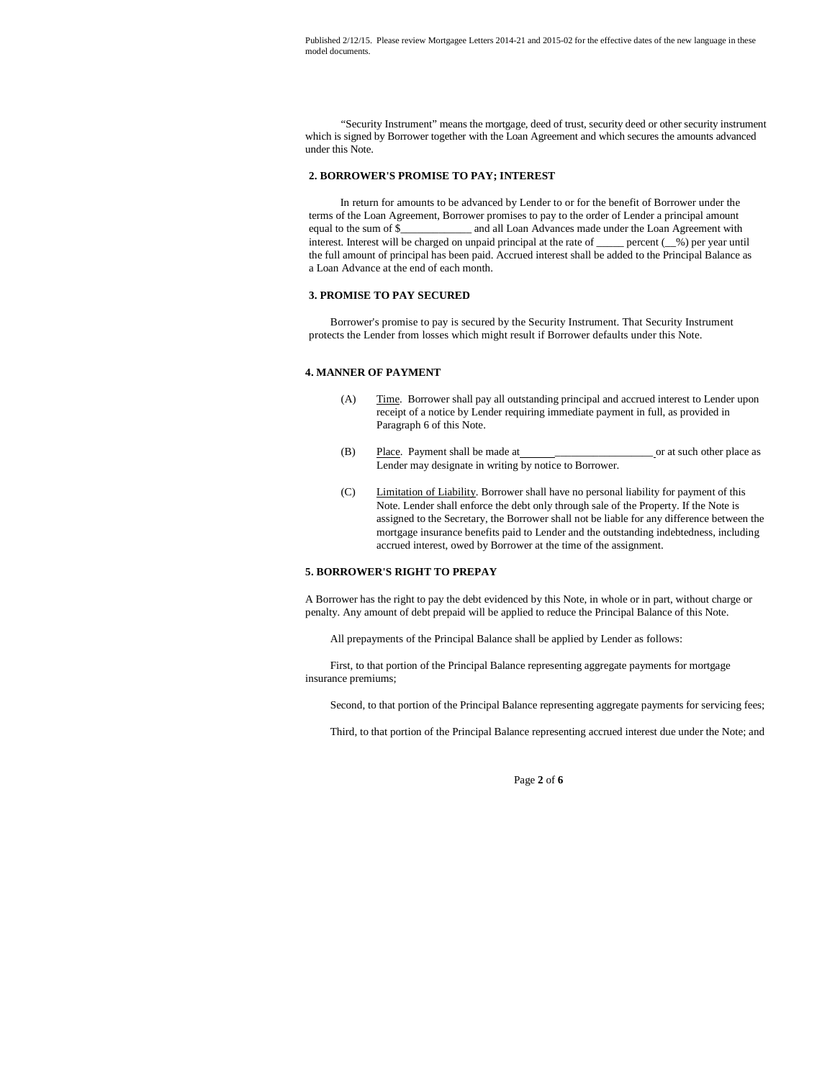"Security Instrument" means the mortgage, deed of trust, security deed or other security instrument which is signed by Borrower together with the Loan Agreement and which secures the amounts advanced under this Note.

#### **2. BORROWER'S PROMISE TO PAY; INTEREST**

In return for amounts to be advanced by Lender to or for the benefit of Borrower under the terms of the Loan Agreement, Borrower promises to pay to the order of Lender a principal amount equal to the sum of \$\_\_\_\_\_\_\_\_\_\_\_\_\_ and all Loan Advances made under the Loan Agreement with interest. Interest will be charged on unpaid principal at the rate of \_\_\_\_\_ percent (\_\_%) per year until the full amount of principal has been paid. Accrued interest shall be added to the Principal Balance as a Loan Advance at the end of each month.

#### **3. PROMISE TO PAY SECURED**

Borrower's promise to pay is secured by the Security Instrument. That Security Instrument protects the Lender from losses which might result if Borrower defaults under this Note.

#### **4. MANNER OF PAYMENT**

- (A) Time. Borrower shall pay all outstanding principal and accrued interest to Lender upon receipt of a notice by Lender requiring immediate payment in full, as provided in Paragraph 6 of this Note.
- (B) Place. Payment shall be made at \_\_\_\_\_\_\_\_\_\_\_\_\_\_\_\_\_\_ or at such other place as Lender may designate in writing by notice to Borrower.
- (C) Limitation of Liability. Borrower shall have no personal liability for payment of this Note. Lender shall enforce the debt only through sale of the Property. If the Note is assigned to the Secretary, the Borrower shall not be liable for any difference between the mortgage insurance benefits paid to Lender and the outstanding indebtedness, including accrued interest, owed by Borrower at the time of the assignment.

#### **5. BORROWER'S RIGHT TO PREPAY**

A Borrower has the right to pay the debt evidenced by this Note, in whole or in part, without charge or penalty. Any amount of debt prepaid will be applied to reduce the Principal Balance of this Note.

All prepayments of the Principal Balance shall be applied by Lender as follows:

First, to that portion of the Principal Balance representing aggregate payments for mortgage insurance premiums;

Second, to that portion of the Principal Balance representing aggregate payments for servicing fees;

Third, to that portion of the Principal Balance representing accrued interest due under the Note; and

Page **2** of **6**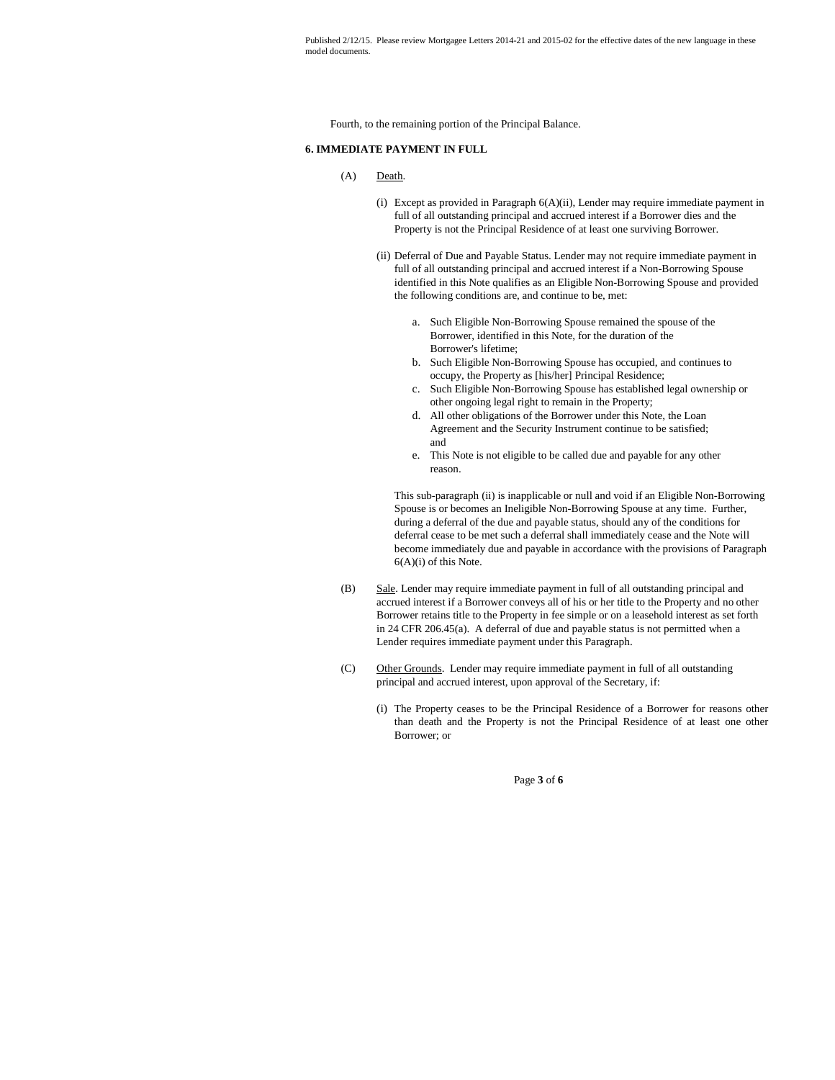Fourth, to the remaining portion of the Principal Balance.

## **6. IMMEDIATE PAYMENT IN FULL**

### (A) Death.

- (i) Except as provided in Paragraph 6(A)(ii), Lender may require immediate payment in full of all outstanding principal and accrued interest if a Borrower dies and the Property is not the Principal Residence of at least one surviving Borrower.
- (ii) Deferral of Due and Payable Status. Lender may not require immediate payment in full of all outstanding principal and accrued interest if a Non-Borrowing Spouse identified in this Note qualifies as an Eligible Non-Borrowing Spouse and provided the following conditions are, and continue to be, met:
	- a. Such Eligible Non-Borrowing Spouse remained the spouse of the Borrower, identified in this Note, for the duration of the Borrower's lifetime;
	- b. Such Eligible Non-Borrowing Spouse has occupied, and continues to occupy, the Property as [his/her] Principal Residence;
	- c. Such Eligible Non-Borrowing Spouse has established legal ownership or other ongoing legal right to remain in the Property;
	- d. All other obligations of the Borrower under this Note, the Loan Agreement and the Security Instrument continue to be satisfied; and
	- e. This Note is not eligible to be called due and payable for any other reason.

This sub-paragraph (ii) is inapplicable or null and void if an Eligible Non-Borrowing Spouse is or becomes an Ineligible Non-Borrowing Spouse at any time. Further, during a deferral of the due and payable status, should any of the conditions for deferral cease to be met such a deferral shall immediately cease and the Note will become immediately due and payable in accordance with the provisions of Paragraph 6(A)(i) of this Note.

- (B) Sale. Lender may require immediate payment in full of all outstanding principal and accrued interest if a Borrower conveys all of his or her title to the Property and no other Borrower retains title to the Property in fee simple or on a leasehold interest as set forth in 24 CFR 206.45(a). A deferral of due and payable status is not permitted when a Lender requires immediate payment under this Paragraph.
- (C) Other Grounds. Lender may require immediate payment in full of all outstanding principal and accrued interest, upon approval of the Secretary, if:
	- (i) The Property ceases to be the Principal Residence of a Borrower for reasons other than death and the Property is not the Principal Residence of at least one other Borrower; or

Page **3** of **6**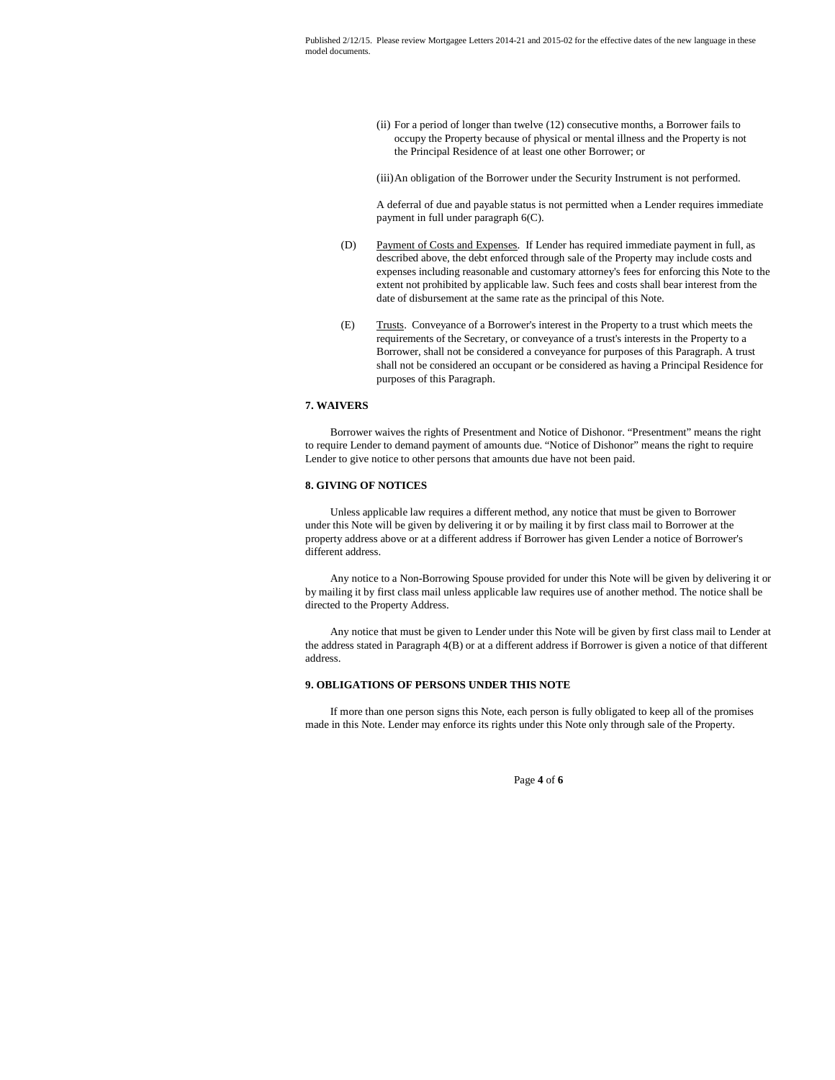(ii) For a period of longer than twelve (12) consecutive months, a Borrower fails to occupy the Property because of physical or mental illness and the Property is not the Principal Residence of at least one other Borrower; or

(iii)An obligation of the Borrower under the Security Instrument is not performed.

A deferral of due and payable status is not permitted when a Lender requires immediate payment in full under paragraph 6(C).

- (D) Payment of Costs and Expenses. If Lender has required immediate payment in full, as described above, the debt enforced through sale of the Property may include costs and expenses including reasonable and customary attorney's fees for enforcing this Note to the extent not prohibited by applicable law. Such fees and costs shall bear interest from the date of disbursement at the same rate as the principal of this Note.
- (E) Trusts. Conveyance of a Borrower's interest in the Property to a trust which meets the requirements of the Secretary, or conveyance of a trust's interests in the Property to a Borrower, shall not be considered a conveyance for purposes of this Paragraph. A trust shall not be considered an occupant or be considered as having a Principal Residence for purposes of this Paragraph.

# **7. WAIVERS**

Borrower waives the rights of Presentment and Notice of Dishonor. "Presentment" means the right to require Lender to demand payment of amounts due. "Notice of Dishonor" means the right to require Lender to give notice to other persons that amounts due have not been paid.

### **8. GIVING OF NOTICES**

Unless applicable law requires a different method, any notice that must be given to Borrower under this Note will be given by delivering it or by mailing it by first class mail to Borrower at the property address above or at a different address if Borrower has given Lender a notice of Borrower's different address.

Any notice to a Non-Borrowing Spouse provided for under this Note will be given by delivering it or by mailing it by first class mail unless applicable law requires use of another method. The notice shall be directed to the Property Address.

Any notice that must be given to Lender under this Note will be given by first class mail to Lender at the address stated in Paragraph 4(B) or at a different address if Borrower is given a notice of that different address.

### **9. OBLIGATIONS OF PERSONS UNDER THIS NOTE**

If more than one person signs this Note, each person is fully obligated to keep all of the promises made in this Note. Lender may enforce its rights under this Note only through sale of the Property.

Page **4** of **6**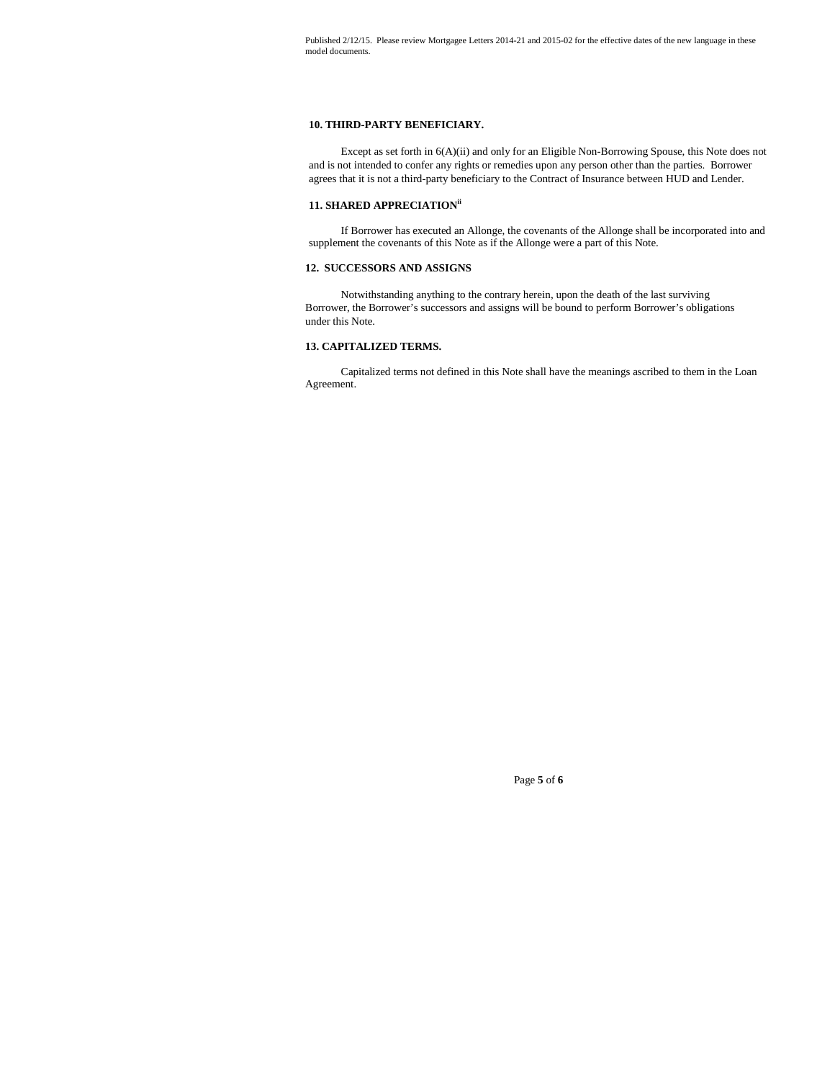## **10. THIRD-PARTY BENEFICIARY.**

Except as set forth in 6(A)(ii) and only for an Eligible Non-Borrowing Spouse, this Note does not and is not intended to confer any rights or remedies upon any person other than the parties. Borrower agrees that it is not a third-party beneficiary to the Contract of Insurance between HUD and Lender.

# **11. SHARED APPRECIATIONii**

If Borrower has executed an Allonge, the covenants of the Allonge shall be incorporated into and supplement the covenants of this Note as if the Allonge were a part of this Note.

# **12. SUCCESSORS AND ASSIGNS**

Notwithstanding anything to the contrary herein, upon the death of the last surviving Borrower, the Borrower's successors and assigns will be bound to perform Borrower's obligations under this Note.

# **13. CAPITALIZED TERMS.**

Capitalized terms not defined in this Note shall have the meanings ascribed to them in the Loan Agreement.

Page **5** of **6**